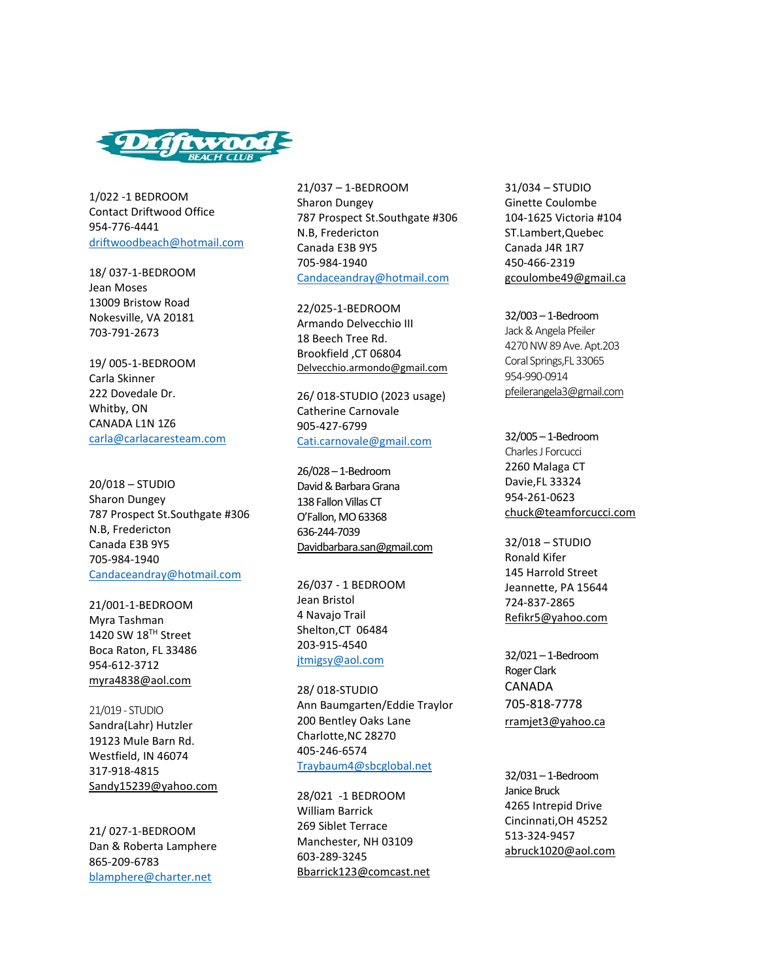

1/022 -1 BEDROOM Contact Driftwood Office 954-776-4441 [driftwoodbeach@hotmail.com](mailto:driftwoodbeach@hotmail.com)

18/ 037-1-BEDROOM Jean Moses 13009 Bristow Road Nokesville, VA 20181 703-791-2673

19/ 005-1-BEDROOM Carla Skinner 222 Dovedale Dr. Whitby, ON CANADA L1N 1Z6 [carla@carlacaresteam.com](mailto:carla@carlacaresteam.com)

20/018 – STUDIO Sharon Dungey 787 Prospect St.Southgate #306 N.B, Fredericton Canada E3B 9Y5 705-984-1940 [Candaceandray@hotmail.com](mailto:Candaceandray@hotmail.com)

21/001-1-BEDROOM Myra Tashman 1420 SW 18TH Street Boca Raton, FL 33486 954-612-3712 [myra4838@aol.com](mailto:Rfryxell@albion.edu)

21/019 - STUDIO Sandra(Lahr) Hutzler 19123 Mule Barn Rd. Westfield, IN 46074 317-918-4815 [Sandy15239@yahoo.com](mailto:Sandy15239@yahoo.com)

21/ 027-1-BEDROOM Dan & Roberta Lamphere 865-209-6783 blamphere@charter.net

21/037 – 1-BEDROOM Sharon Dungey 787 Prospect St.Southgate #306 N.B, Fredericton Canada E3B 9Y5 705-984-1940 [Candaceandray@hotmail.com](mailto:Candaceandray@hotmail.com)

22/025-1-BEDROOM Armando Delvecchio III 18 Beech Tree Rd. Brookfield ,CT 06804 [Delvecchio.armondo@gmail.com](mailto:Delvecchio.armondo@gmail.com)

26/ 018-STUDIO (2023 usage) Catherine Carnovale 905-427-6799 [Cati.carnovale@gmail.com](mailto:Cati.carnovale@gmail.com)

26/028 – 1-Bedroom David & Barbara Grana 138 Fallon Villas CT O'Fallon, MO 63368 636-244-7039 [Davidbarbara.san@gmail.com](mailto:Davidbarbara.san@gmail.com)

26/037 - 1 BEDROOM Jean Bristol 4 Navajo Trail Shelton,CT 06484 203-915-4540 [jtmigsy@aol.com](mailto:jtmigsy@aol.com)

28/ 018-STUDIO Ann Baumgarten/Eddie Traylor 200 Bentley Oaks Lane Charlotte,NC 28270 405-246-6574 [Traybaum4@sbcglobal.net](mailto:Traybaum4@sbcglobal.net)

28/021 -1 BEDROOM William Barrick 269 Siblet Terrace Manchester, NH 03109 603-289-3245 [Bbarrick123@comcast.net](mailto:Bbarrick123@comcast.net) 31/034 – STUDIO Ginette Coulombe 104-1625 Victoria #104 ST.Lambert,Quebec Canada J4R 1R7 450-466-2319 [gcoulombe49@gmail.ca](mailto:gcoulombe49@gmail.cam)

32/003 – 1-Bedroom Jack & Angela Pfeiler 4270 NW 89 Ave. Apt.203 Coral Springs,FL 33065 954-990-0914 [pfeilerangela3@gmail.com](mailto:pfeilerangela3@gmail.com)

32/005 – 1-Bedroom Charles J Forcucci 2260 Malaga CT Davie,FL 33324 954-261-0623 [chuck@teamforcucci.com](mailto:chuck@teamforcucci.com)

32/018 – STUDIO Ronald Kifer 145 Harrold Street Jeannette, PA 15644 724-837-2865 [Refikr5@yahoo.com](mailto:Refikr5@yahoo.com)

32/021 – 1-Bedroom Roger Clark CANADA 705-818-7778 [rramjet3@yahoo.ca](mailto:chuck@teamforcucci.com)

32/031 – 1-Bedroom Janice Bruck 4265 Intrepid Drive Cincinnati,OH 45252 513-324-9457 [abruck1020@aol.com](mailto:chuck@teamforcucci.com)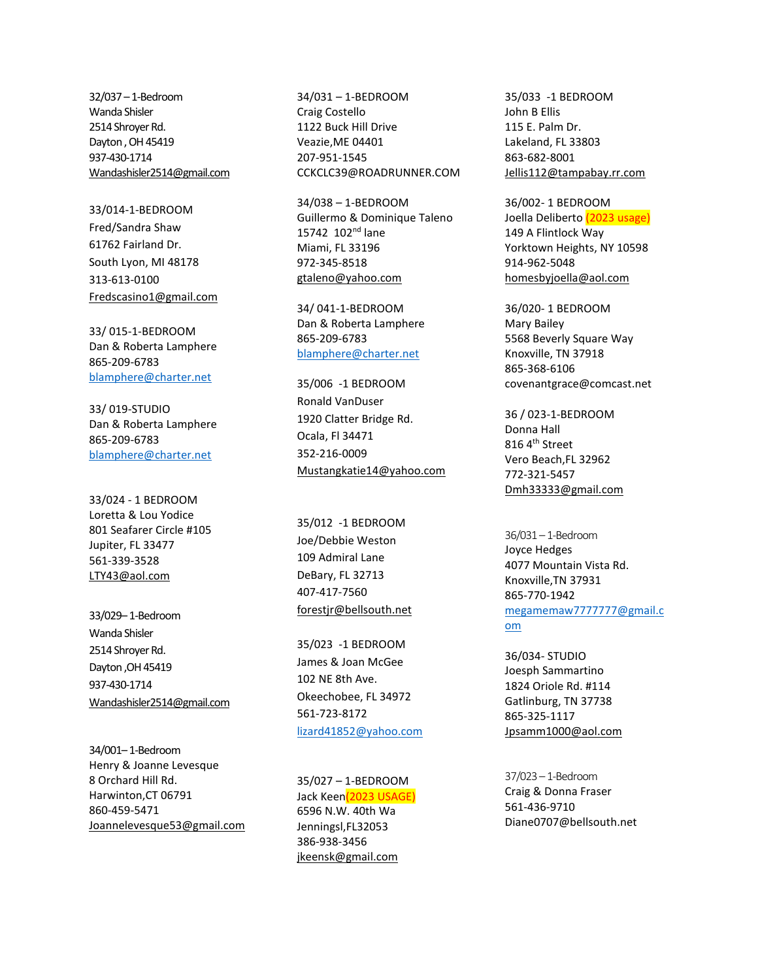32/037 – 1-Bedroom Wanda Shisler 2514 Shroyer Rd. Dayton , OH 45419 937-430-1714 [Wandashisler2514@gmail.com](mailto:Wandashisler2514@gmail.com)

33/014-1-BEDROOM Fred/Sandra Shaw 61762 Fairland Dr. South Lyon, MI 48178 313-613-0100 [Fredscasino1@gmail.com](mailto:Fredscasino1@gmail.com)

33/ 015-1-BEDROOM Dan & Roberta Lamphere 865-209-6783 blamphere@charter.net

33/ 019-STUDIO Dan & Roberta Lamphere 865-209-6783 blamphere@charter.net

33/024 - 1 BEDROOM Loretta & Lou Yodice 801 Seafarer Circle #105 Jupiter, FL 33477 561-339-3528 [LTY43@aol.com](mailto:LTY43@aol.com)

33/029– 1-Bedroom Wanda Shisler 2514 Shroyer Rd. Dayton ,OH 45419 937-430-1714 [Wandashisler2514@gmail.com](mailto:Wandashisler2514@gmail.com)

34/001– 1-Bedroom Henry & Joanne Levesque 8 Orchard Hill Rd. Harwinton,CT 06791 860-459-5471 [Joannelevesque53@gmail.com](mailto:Joannelevesque53@gmail.com) 34/031 – 1-BEDROOM Craig Costello 1122 Buck Hill Drive Veazie,ME 04401 207-951-1545 CCKCLC39@ROADRUNNER.COM

34/038 – 1-BEDROOM Guillermo & Dominique Taleno 15742 102nd lane Miami, FL 33196 972-345-8518 [gtaleno@yahoo.com](mailto:gtaleno@yahoo.com)

34/ 041-1-BEDROOM Dan & Roberta Lamphere 865-209-6783 blamphere@charter.net

35/006 -1 BEDROOM Ronald VanDuser 1920 Clatter Bridge Rd. Ocala, Fl 34471 352-216-0009 [Mustangkatie14@yahoo.com](mailto:Mustangkatie14@yahoo.com)

35/012 -1 BEDROOM Joe/Debbie Weston 109 Admiral Lane DeBary, FL 32713 407-417-7560 [forestjr@bellsouth.net](mailto:forestjr@bellsouth.net)

35/023 -1 BEDROOM James & Joan McGee 102 NE 8th Ave. Okeechobee, FL 34972 561-723-8172 [lizard41852@yahoo.com](mailto:lizard41852@yahoo.com)

35/027 – 1-BEDROOM Jack Keen(2023 USAGE) 6596 N.W. 40th Wa Jenningsl,FL32053 386-938-3456 [jkeensk@gmail.com](mailto:Aasuarez1228@hotmail.com)

35/033 -1 BEDROOM John B Ellis 115 E. Palm Dr. Lakeland, FL 33803 863-682-8001 [Jellis112@tampabay.rr.com](mailto:Jellis112@tampabay.rr.com)

36/002- 1 BEDROOM Joella Deliberto (2023 usage) 149 A Flintlock Way Yorktown Heights, NY 10598 914-962-5048 [homesbyjoella@aol.com](mailto:homesbyjoella@aol.com)

36/020- 1 BEDROOM Mary Bailey 5568 Beverly Square Way Knoxville, TN 37918 865-368-6106 covenantgrace@comcast.net

36 / 023-1-BEDROOM Donna Hall 816 4<sup>th</sup> Street Vero Beach,FL 32962 772-321-5457 Dmh33333@gmail.com

36/031 – 1-Bedroom Joyce Hedges 4077 Mountain Vista Rd. Knoxville,TN 37931 865-770-1942 [megamemaw7777777@gmail.c](mailto:megamemaw7777777@gmail.com) [om](mailto:megamemaw7777777@gmail.com)

36/034- STUDIO Joesph Sammartino 1824 Oriole Rd. #114 Gatlinburg, TN 37738 865-325-1117 [Jpsamm1000@aol.com](mailto:Jpsamm1000@aol.com)

37/023 – 1-Bedroom Craig & Donna Fraser 561-436-9710 Diane0707@bellsouth.net